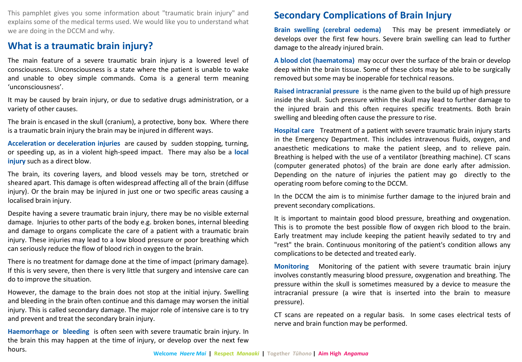This pamphlet gives you some information about "traumatic brain injury" and explains some of the medical terms used. We would like you to understand what we are doing in the DCCM and why.

## **What is a traumatic brain injury?**

The main feature of a severe traumatic brain injury is a lowered level of consciousness. Unconsciousness is a state where the patient is unable to wake and unable to obey simple commands. Coma is a general term meaning 'unconsciousness'.

It may be caused by brain injury, or due to sedative drugs administration, or a variety of other causes.

The brain is encased in the skull (cranium), a protective, bony box. Where there is a traumatic brain injury the brain may be injured in different ways.

**Acceleration or deceleration injuries** are caused by sudden stopping, turning, or speeding up, as in a violent high-speed impact. There may also be a **local injury** such as a direct blow.

The brain, its covering layers, and blood vessels may be torn, stretched or sheared apart. This damage is often widespread affecting all of the brain (diffuse injury). Or the brain may be injured in just one or two specific areas causing a localised brain injury.

Despite having a severe traumatic brain injury, there may be no visible external damage. Injuries to other parts of the body e.g. broken bones, internal bleeding and damage to organs complicate the care of a patient with a traumatic brain injury. These injuries may lead to a low blood pressure or poor breathing which can seriously reduce the flow of blood rich in oxygen to the brain.

There is no treatment for damage done at the time of impact (primary damage). If this is very severe, then there is very little that surgery and intensive care can do to improve the situation.

However, the damage to the brain does not stop at the initial injury. Swelling and bleeding in the brain often continue and this damage may worsen the initial injury. This is called secondary damage. The major role of intensive care is to try and prevent and treat the secondary brain injury.

**Haemorrhage or bleeding** is often seen with severe traumatic brain injury. In the brain this may happen at the time of injury, or develop over the next few hours.

## **Secondary Complications of Brain Injury**

**Brain swelling (cerebral oedema)** This may be present immediately or develops over the first few hours. Severe brain swelling can lead to further damage to the already injured brain.

**A blood clot (haematoma)** may occur over the surface of the brain or develop deep within the brain tissue. Some of these clots may be able to be surgically removed but some may be inoperable for technical reasons.

**Raised intracranial pressure** is the name given to the build up of high pressure inside the skull. Such pressure within the skull may lead to further damage to the injured brain and this often requires specific treatments. Both brain swelling and bleeding often cause the pressure to rise.

**Hospital care** Treatment of a patient with severe traumatic brain injury starts in the Emergency Department. This includes intravenous fluids, oxygen, and anaesthetic medications to make the patient sleep, and to relieve pain. Breathing is helped with the use of a ventilator (breathing machine). CT scans (computer generated photos) of the brain are done early after admission. Depending on the nature of injuries the patient may go directly to the operating room before coming to the DCCM.

In the DCCM the aim is to minimise further damage to the injured brain and prevent secondary complications.

It is important to maintain good blood pressure, breathing and oxygenation. This is to promote the best possible flow of oxygen rich blood to the brain. Early treatment may include keeping the patient heavily sedated to try and "rest" the brain. Continuous monitoring of the patient's condition allows any complicationsto be detected and treated early.

**Monitoring** Monitoring of the patient with severe traumatic brain injury involves constantly measuring blood pressure, oxygenation and breathing. The pressure within the skull is sometimes measured by a device to measure the intracranial pressure (a wire that is inserted into the brain to measure pressure).

CT scans are repeated on a regular basis. In some cases electrical tests of nerve and brain function may be performed.